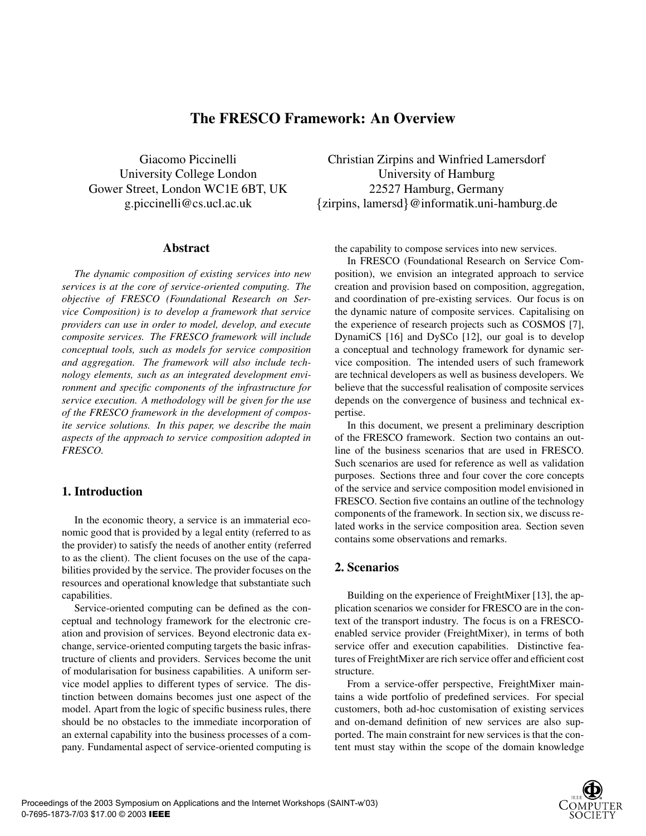# **The FRESCO Framework: An Overview**

Giacomo Piccinelli University College London Gower Street, London WC1E 6BT, UK g.piccinelli@cs.ucl.ac.uk

#### **Abstract**

*The dynamic composition of existing services into new services is at the core of service-oriented computing. The objective of FRESCO (Foundational Research on Service Composition) is to develop a framework that service providers can use in order to model, develop, and execute composite services. The FRESCO framework will include conceptual tools, such as models for service composition and aggregation. The framework will also include technology elements, such as an integrated development environment and specific components of the infrastructure for service execution. A methodology will be given for the use of the FRESCO framework in the development of composite service solutions. In this paper, we describe the main aspects of the approach to service composition adopted in FRESCO.*

### **1. Introduction**

In the economic theory, a service is an immaterial economic good that is provided by a legal entity (referred to as the provider) to satisfy the needs of another entity (referred to as the client). The client focuses on the use of the capabilities provided by the service. The provider focuses on the resources and operational knowledge that substantiate such capabilities.

Service-oriented computing can be defined as the conceptual and technology framework for the electronic creation and provision of services. Beyond electronic data exchange, service-oriented computing targets the basic infrastructure of clients and providers. Services become the unit of modularisation for business capabilities. A uniform service model applies to different types of service. The distinction between domains becomes just one aspect of the model. Apart from the logic of specific business rules, there should be no obstacles to the immediate incorporation of an external capability into the business processes of a company. Fundamental aspect of service-oriented computing is

Christian Zirpins and Winfried Lamersdorf University of Hamburg 22527 Hamburg, Germany  $\{zirpins, lamersd\} @ informatik.$ uni-hamburg.de

the capability to compose services into new services.

In FRESCO (Foundational Research on Service Composition), we envision an integrated approach to service creation and provision based on composition, aggregation, and coordination of pre-existing services. Our focus is on the dynamic nature of composite services. Capitalising on the experience of research projects such as COSMOS [7], DynamiCS [16] and DySCo [12], our goal is to develop a conceptual and technology framework for dynamic service composition. The intended users of such framework are technical developers as well as business developers. We believe that the successful realisation of composite services depends on the convergence of business and technical expertise.

In this document, we present a preliminary description of the FRESCO framework. Section two contains an outline of the business scenarios that are used in FRESCO. Such scenarios are used for reference as well as validation purposes. Sections three and four cover the core concepts of the service and service composition model envisioned in FRESCO. Section five contains an outline of the technology components of the framework. In section six, we discuss related works in the service composition area. Section seven contains some observations and remarks.

### **2. Scenarios**

Building on the experience of FreightMixer [13], the application scenarios we consider for FRESCO are in the context of the transport industry. The focus is on a FRESCOenabled service provider (FreightMixer), in terms of both service offer and execution capabilities. Distinctive features of FreightMixer are rich service offer and efficient cost structure.

From a service-offer perspective, FreightMixer maintains a wide portfolio of predefined services. For special customers, both ad-hoc customisation of existing services and on-demand definition of new services are also supported. The main constraint for new services is that the content must stay within the scope of the domain knowledge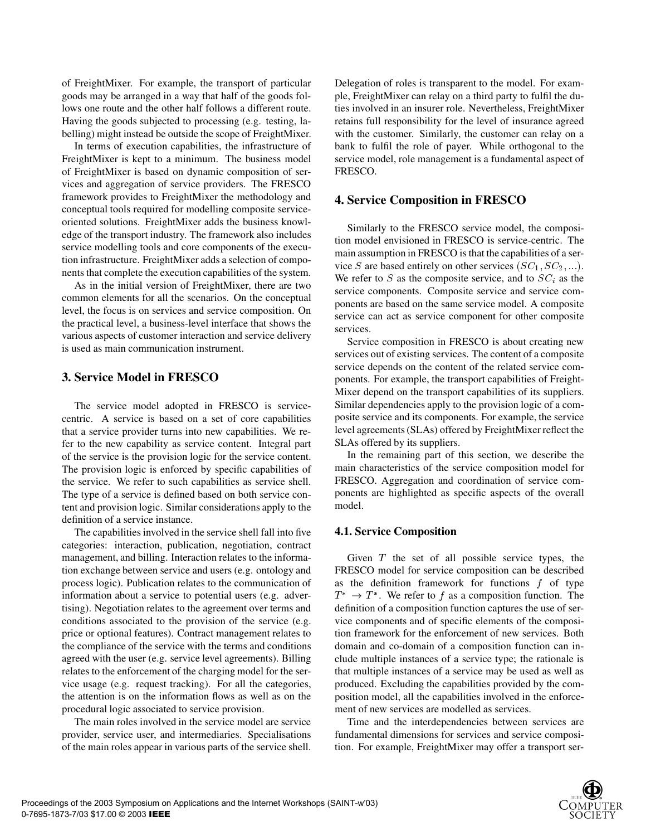of FreightMixer. For example, the transport of particular goods may be arranged in a way that half of the goods follows one route and the other half follows a different route. Having the goods subjected to processing (e.g. testing, labelling) might instead be outside the scope of FreightMixer.

In terms of execution capabilities, the infrastructure of FreightMixer is kept to a minimum. The business model of FreightMixer is based on dynamic composition of services and aggregation of service providers. The FRESCO framework provides to FreightMixer the methodology and conceptual tools required for modelling composite serviceoriented solutions. FreightMixer adds the business knowledge of the transport industry. The framework also includes service modelling tools and core components of the execution infrastructure. FreightMixer adds a selection of components that complete the execution capabilities of the system.

As in the initial version of FreightMixer, there are two common elements for all the scenarios. On the conceptual level, the focus is on services and service composition. On the practical level, a business-level interface that shows the various aspects of customer interaction and service delivery is used as main communication instrument.

# **3. Service Model in FRESCO**

The service model adopted in FRESCO is servicecentric. A service is based on a set of core capabilities that a service provider turns into new capabilities. We refer to the new capability as service content. Integral part of the service is the provision logic for the service content. The provision logic is enforced by specific capabilities of the service. We refer to such capabilities as service shell. The type of a service is defined based on both service content and provision logic. Similar considerations apply to the definition of a service instance.

The capabilities involved in the service shell fall into five categories: interaction, publication, negotiation, contract management, and billing. Interaction relates to the information exchange between service and users (e.g. ontology and process logic). Publication relates to the communication of information about a service to potential users (e.g. advertising). Negotiation relates to the agreement over terms and conditions associated to the provision of the service (e.g. price or optional features). Contract management relates to the compliance of the service with the terms and conditions agreed with the user (e.g. service level agreements). Billing relates to the enforcement of the charging model for the service usage (e.g. request tracking). For all the categories, the attention is on the information flows as well as on the procedural logic associated to service provision.

The main roles involved in the service model are service provider, service user, and intermediaries. Specialisations of the main roles appear in various parts of the service shell. Delegation of roles is transparent to the model. For example, FreightMixer can relay on a third party to fulfil the duties involved in an insurer role. Nevertheless, FreightMixer retains full responsibility for the level of insurance agreed with the customer. Similarly, the customer can relay on a bank to fulfil the role of payer. While orthogonal to the service model, role management is a fundamental aspect of FRESCO.

## **4. Service Composition in FRESCO**

Similarly to the FRESCO service model, the composition model envisioned in FRESCO is service-centric. The main assumption in FRESCO is that the capabilities of a service S are based entirely on other services  $(SC_1, SC_2, \ldots)$ . We refer to S as the composite service, and to  $SC<sub>i</sub>$  as the service components. Composite service and service components are based on the same service model. A composite service can act as service component for other composite services.

Service composition in FRESCO is about creating new services out of existing services. The content of a composite service depends on the content of the related service components. For example, the transport capabilities of Freight-Mixer depend on the transport capabilities of its suppliers. Similar dependencies apply to the provision logic of a composite service and its components. For example, the service level agreements (SLAs) offered by FreightMixer reflect the SLAs offered by its suppliers.

In the remaining part of this section, we describe the main characteristics of the service composition model for FRESCO. Aggregation and coordination of service components are highlighted as specific aspects of the overall model.

### **4.1. Service Composition**

Given  $T$  the set of all possible service types, the FRESCO model for service composition can be described as the definition framework for functions  $f$  of type  $T^* \rightarrow T^*$ . We refer to f as a composition function. The definition of a composition function captures the use of service components and of specific elements of the composition framework for the enforcement of new services. Both domain and co-domain of a composition function can include multiple instances of a service type; the rationale is that multiple instances of a service may be used as well as produced. Excluding the capabilities provided by the composition model, all the capabilities involved in the enforcement of new services are modelled as services.

Time and the interdependencies between services are fundamental dimensions for services and service composition. For example, FreightMixer may offer a transport ser-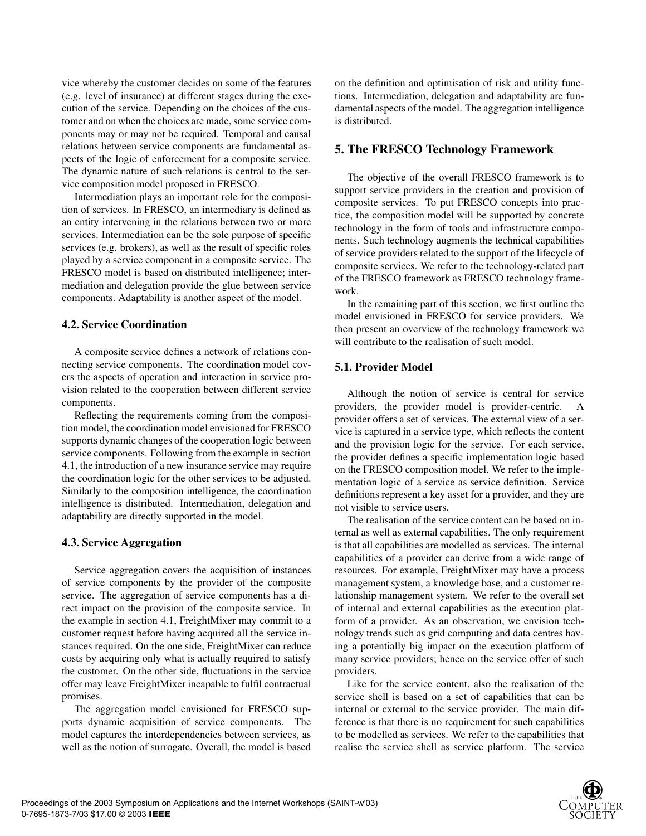vice whereby the customer decides on some of the features (e.g. level of insurance) at different stages during the execution of the service. Depending on the choices of the customer and on when the choices are made, some service components may or may not be required. Temporal and causal relations between service components are fundamental aspects of the logic of enforcement for a composite service. The dynamic nature of such relations is central to the service composition model proposed in FRESCO.

Intermediation plays an important role for the composition of services. In FRESCO, an intermediary is defined as an entity intervening in the relations between two or more services. Intermediation can be the sole purpose of specific services (e.g. brokers), as well as the result of specific roles played by a service component in a composite service. The FRESCO model is based on distributed intelligence; intermediation and delegation provide the glue between service components. Adaptability is another aspect of the model.

#### **4.2. Service Coordination**

A composite service defines a network of relations connecting service components. The coordination model covers the aspects of operation and interaction in service provision related to the cooperation between different service components.

Reflecting the requirements coming from the composition model, the coordination model envisioned for FRESCO supports dynamic changes of the cooperation logic between service components. Following from the example in section 4.1, the introduction of a new insurance service may require the coordination logic for the other services to be adjusted. Similarly to the composition intelligence, the coordination intelligence is distributed. Intermediation, delegation and adaptability are directly supported in the model.

#### **4.3. Service Aggregation**

Service aggregation covers the acquisition of instances of service components by the provider of the composite service. The aggregation of service components has a direct impact on the provision of the composite service. In the example in section 4.1, FreightMixer may commit to a customer request before having acquired all the service instances required. On the one side, FreightMixer can reduce costs by acquiring only what is actually required to satisfy the customer. On the other side, fluctuations in the service offer may leave FreightMixer incapable to fulfil contractual promises.

The aggregation model envisioned for FRESCO supports dynamic acquisition of service components. The model captures the interdependencies between services, as well as the notion of surrogate. Overall, the model is based on the definition and optimisation of risk and utility functions. Intermediation, delegation and adaptability are fundamental aspects of the model. The aggregation intelligence is distributed.

## **5. The FRESCO Technology Framework**

The objective of the overall FRESCO framework is to support service providers in the creation and provision of composite services. To put FRESCO concepts into practice, the composition model will be supported by concrete technology in the form of tools and infrastructure components. Such technology augments the technical capabilities of service providers related to the support of the lifecycle of composite services. We refer to the technology-related part of the FRESCO framework as FRESCO technology framework.

In the remaining part of this section, we first outline the model envisioned in FRESCO for service providers. We then present an overview of the technology framework we will contribute to the realisation of such model.

### **5.1. Provider Model**

Although the notion of service is central for service providers, the provider model is provider-centric. A provider offers a set of services. The external view of a service is captured in a service type, which reflects the content and the provision logic for the service. For each service, the provider defines a specific implementation logic based on the FRESCO composition model. We refer to the implementation logic of a service as service definition. Service definitions represent a key asset for a provider, and they are not visible to service users.

The realisation of the service content can be based on internal as well as external capabilities. The only requirement is that all capabilities are modelled as services. The internal capabilities of a provider can derive from a wide range of resources. For example, FreightMixer may have a process management system, a knowledge base, and a customer relationship management system. We refer to the overall set of internal and external capabilities as the execution platform of a provider. As an observation, we envision technology trends such as grid computing and data centres having a potentially big impact on the execution platform of many service providers; hence on the service offer of such providers.

Like for the service content, also the realisation of the service shell is based on a set of capabilities that can be internal or external to the service provider. The main difference is that there is no requirement for such capabilities to be modelled as services. We refer to the capabilities that realise the service shell as service platform. The service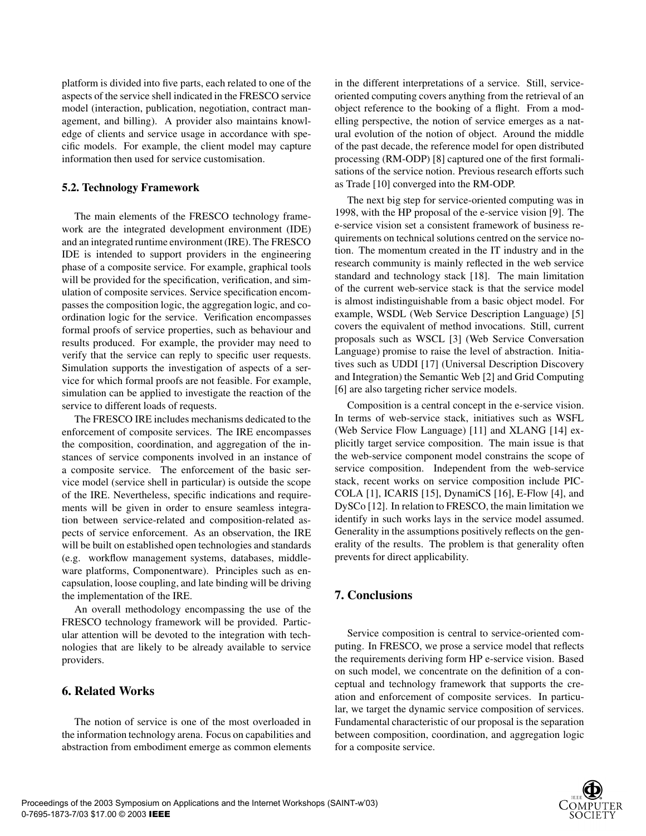platform is divided into five parts, each related to one of the aspects of the service shell indicated in the FRESCO service model (interaction, publication, negotiation, contract management, and billing). A provider also maintains knowledge of clients and service usage in accordance with specific models. For example, the client model may capture information then used for service customisation.

#### **5.2. Technology Framework**

The main elements of the FRESCO technology framework are the integrated development environment (IDE) and an integrated runtime environment (IRE). The FRESCO IDE is intended to support providers in the engineering phase of a composite service. For example, graphical tools will be provided for the specification, verification, and simulation of composite services. Service specification encompasses the composition logic, the aggregation logic, and coordination logic for the service. Verification encompasses formal proofs of service properties, such as behaviour and results produced. For example, the provider may need to verify that the service can reply to specific user requests. Simulation supports the investigation of aspects of a service for which formal proofs are not feasible. For example, simulation can be applied to investigate the reaction of the service to different loads of requests.

The FRESCO IRE includes mechanisms dedicated to the enforcement of composite services. The IRE encompasses the composition, coordination, and aggregation of the instances of service components involved in an instance of a composite service. The enforcement of the basic service model (service shell in particular) is outside the scope of the IRE. Nevertheless, specific indications and requirements will be given in order to ensure seamless integration between service-related and composition-related aspects of service enforcement. As an observation, the IRE will be built on established open technologies and standards (e.g. workflow management systems, databases, middleware platforms, Componentware). Principles such as encapsulation, loose coupling, and late binding will be driving the implementation of the IRE.

An overall methodology encompassing the use of the FRESCO technology framework will be provided. Particular attention will be devoted to the integration with technologies that are likely to be already available to service providers.

# **6. Related Works**

The notion of service is one of the most overloaded in the information technology arena. Focus on capabilities and abstraction from embodiment emerge as common elements in the different interpretations of a service. Still, serviceoriented computing covers anything from the retrieval of an object reference to the booking of a flight. From a modelling perspective, the notion of service emerges as a natural evolution of the notion of object. Around the middle of the past decade, the reference model for open distributed processing (RM-ODP) [8] captured one of the first formalisations of the service notion. Previous research efforts such as Trade [10] converged into the RM-ODP.

The next big step for service-oriented computing was in 1998, with the HP proposal of the e-service vision [9]. The e-service vision set a consistent framework of business requirements on technical solutions centred on the service notion. The momentum created in the IT industry and in the research community is mainly reflected in the web service standard and technology stack [18]. The main limitation of the current web-service stack is that the service model is almost indistinguishable from a basic object model. For example, WSDL (Web Service Description Language) [5] covers the equivalent of method invocations. Still, current proposals such as WSCL [3] (Web Service Conversation Language) promise to raise the level of abstraction. Initiatives such as UDDI [17] (Universal Description Discovery and Integration) the Semantic Web [2] and Grid Computing [6] are also targeting richer service models.

Composition is a central concept in the e-service vision. In terms of web-service stack, initiatives such as WSFL (Web Service Flow Language) [11] and XLANG [14] explicitly target service composition. The main issue is that the web-service component model constrains the scope of service composition. Independent from the web-service stack, recent works on service composition include PIC-COLA [1], ICARIS [15], DynamiCS [16], E-Flow [4], and DySCo [12]. In relation to FRESCO, the main limitation we identify in such works lays in the service model assumed. Generality in the assumptions positively reflects on the generality of the results. The problem is that generality often prevents for direct applicability.

# **7. Conclusions**

Service composition is central to service-oriented computing. In FRESCO, we prose a service model that reflects the requirements deriving form HP e-service vision. Based on such model, we concentrate on the definition of a conceptual and technology framework that supports the creation and enforcement of composite services. In particular, we target the dynamic service composition of services. Fundamental characteristic of our proposal is the separation between composition, coordination, and aggregation logic for a composite service.